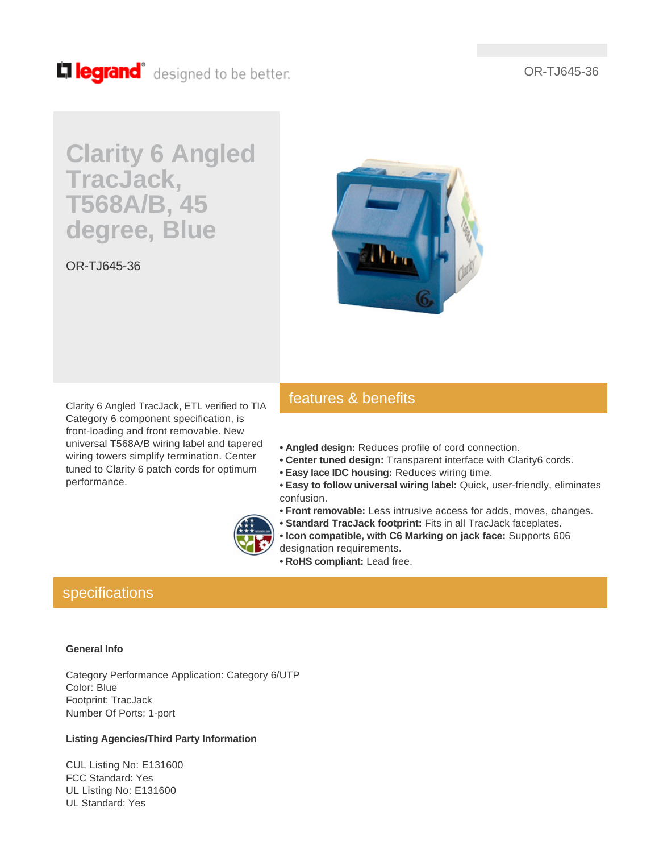OR-TJ645-36

## Lillegrand<sup>®</sup> designed to be better.

# **Clarity 6 Angled TracJack, T568A/B, 45 degree, Blue**

OR-TJ645-36



Clarity 6 Angled TracJack, ETL verified to TIA Category 6 component specification, is front-loading and front removable. New universal T568A/B wiring label and tapered wiring towers simplify termination. Center tuned to Clarity 6 patch cords for optimum performance.

## features & benefits

- **Angled design:** Reduces profile of cord connection.
- **Center tuned design:** Transparent interface with Clarity6 cords.
- **Easy lace IDC housing:** Reduces wiring time.
- **Easy to follow universal wiring label:** Quick, user-friendly, eliminates confusion.
- **Front removable:** Less intrusive access for adds, moves, changes.
- **Standard TracJack footprint:** Fits in all TracJack faceplates.
- **Icon compatible, with C6 Marking on jack face:** Supports 606 designation requirements.
	- **RoHS compliant:** Lead free.

### specifications

#### **General Info**

Category Performance Application: Category 6/UTP Color: Blue Footprint: TracJack Number Of Ports: 1-port

#### **Listing Agencies/Third Party Information**

CUL Listing No: E131600 FCC Standard: Yes UL Listing No: E131600 UL Standard: Yes